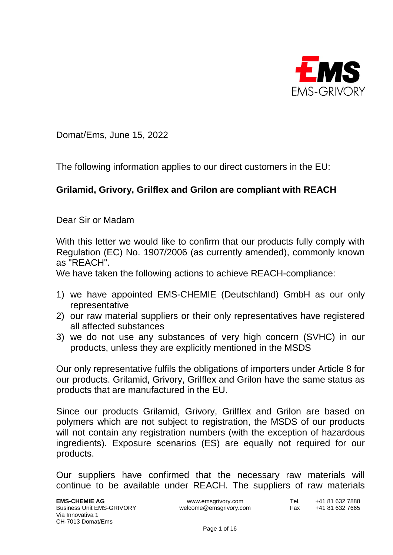

Domat/Ems, June 15, 2022

The following information applies to our direct customers in the EU:

## **Grilamid, Grivory, Grilflex and Grilon are compliant with REACH**

Dear Sir or Madam

With this letter we would like to confirm that our products fully comply with Regulation (EC) No. 1907/2006 (as currently amended), commonly known as "REACH".

We have taken the following actions to achieve REACH-compliance:

- 1) we have appointed EMS-CHEMIE (Deutschland) GmbH as our only representative
- 2) our raw material suppliers or their only representatives have registered all affected substances
- 3) we do not use any substances of very high concern (SVHC) in our products, unless they are explicitly mentioned in the MSDS

Our only representative fulfils the obligations of importers under Article 8 for our products. Grilamid, Grivory, Grilflex and Grilon have the same status as products that are manufactured in the EU.

Since our products Grilamid, Grivory, Grilflex and Grilon are based on polymers which are not subject to registration, the MSDS of our products will not contain any registration numbers (with the exception of hazardous ingredients). Exposure scenarios (ES) are equally not required for our products.

Our suppliers have confirmed that the necessary raw materials will continue to be available under REACH. The suppliers of raw materials

**EMS-CHEMIE AG** www.emsgrivory.com Tel. +41 81 632 7888<br>Business Unit EMS-GRIVORY welcome@emsgrivory.com Fax +41 81 632 7665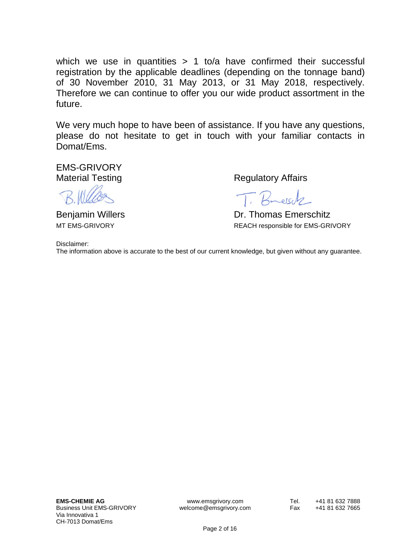which we use in quantities  $> 1$  to/a have confirmed their successful registration by the applicable deadlines (depending on the tonnage band) of 30 November 2010, 31 May 2013, or 31 May 2018, respectively. Therefore we can continue to offer you our wide product assortment in the future.

We very much hope to have been of assistance. If you have any questions, please do not hesitate to get in touch with your familiar contacts in Domat/Ems.

EMS-GRIVORY

Material Testing **Regulatory Affairs** 

T. Bresch

Benjamin Willers **Dr. Thomas Emerschitz** MT EMS-GRIVORY **REACH responsible for EMS-GRIVORY** 

Disclaimer:

The information above is accurate to the best of our current knowledge, but given without any guarantee.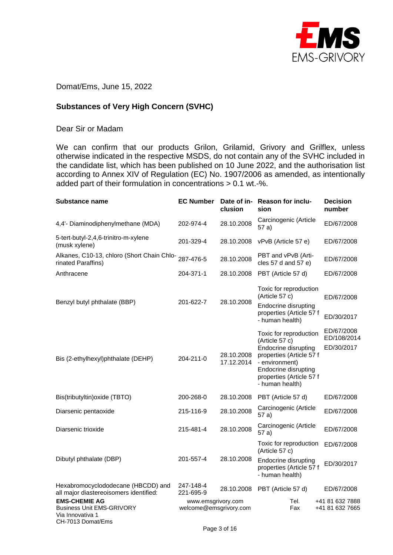

Domat/Ems, June 15, 2022

## **Substances of Very High Concern (SVHC)**

## Dear Sir or Madam

We can confirm that our products Grilon, Grilamid, Grivory and Grilflex, unless otherwise indicated in the respective MSDS, do not contain any of the SVHC included in the candidate list, which has been published on 10 June 2022, and the authorisation list according to Annex XIV of Regulation (EC) No. 1907/2006 as amended, as intentionally added part of their formulation in concentrations > 0.1 wt.-%.

| <b>Substance name</b>                                                                             | <b>EC Number</b>                             | clusion                  | Date of in- Reason for inclu-<br>sion                                                                                                                                                               | <b>Decision</b><br>number               |
|---------------------------------------------------------------------------------------------------|----------------------------------------------|--------------------------|-----------------------------------------------------------------------------------------------------------------------------------------------------------------------------------------------------|-----------------------------------------|
| 4,4'- Diaminodiphenylmethane (MDA)                                                                | 202-974-4                                    | 28.10.2008               | Carcinogenic (Article<br>57a)                                                                                                                                                                       | ED/67/2008                              |
| 5-tert-butyl-2,4,6-trinitro-m-xylene<br>(musk xylene)                                             | 201-329-4                                    | 28.10.2008               | vPvB (Article 57 e)                                                                                                                                                                                 | ED/67/2008                              |
| Alkanes, C10-13, chloro (Short Chain Chlo-<br>rinated Paraffins)                                  | 287-476-5                                    | 28.10.2008               | PBT and vPvB (Arti-<br>cles 57 d and 57 e)                                                                                                                                                          | ED/67/2008                              |
| Anthracene                                                                                        | 204-371-1                                    | 28.10.2008               | PBT (Article 57 d)                                                                                                                                                                                  | ED/67/2008                              |
| Benzyl butyl phthalate (BBP)                                                                      | 201-622-7                                    | 28.10.2008               | Toxic for reproduction<br>(Article 57 c)<br><b>Endocrine disrupting</b><br>properties (Article 57 f<br>- human health)                                                                              | ED/67/2008<br>ED/30/2017                |
| Bis (2-ethylhexyl)phthalate (DEHP)                                                                | 204-211-0                                    | 28.10.2008<br>17.12.2014 | Toxic for reproduction<br>(Article 57 c)<br><b>Endocrine disrupting</b><br>properties (Article 57 f<br>- environment)<br><b>Endocrine disrupting</b><br>properties (Article 57 f<br>- human health) | ED/67/2008<br>ED/108/2014<br>ED/30/2017 |
| Bis(tributyltin) oxide (TBTO)                                                                     | 200-268-0                                    | 28.10.2008               | PBT (Article 57 d)                                                                                                                                                                                  | ED/67/2008                              |
| Diarsenic pentaoxide                                                                              | 215-116-9                                    | 28.10.2008               | Carcinogenic (Article<br>57 a)                                                                                                                                                                      | ED/67/2008                              |
| Diarsenic trioxide                                                                                | 215-481-4                                    | 28.10.2008               | Carcinogenic (Article<br>57a)                                                                                                                                                                       | ED/67/2008                              |
|                                                                                                   |                                              |                          | Toxic for reproduction<br>(Article 57 c)                                                                                                                                                            | ED/67/2008                              |
| Dibutyl phthalate (DBP)                                                                           | 201-557-4                                    | 28.10.2008               | Endocrine disrupting<br>properties (Article 57 f<br>- human health)                                                                                                                                 | ED/30/2017                              |
| Hexabromocyclododecane (HBCDD) and<br>all major diastereoisomers identified:                      | 247-148-4<br>221-695-9                       | 28.10.2008               | PBT (Article 57 d)                                                                                                                                                                                  | ED/67/2008                              |
| <b>EMS-CHEMIE AG</b><br><b>Business Unit EMS-GRIVORY</b><br>Via Innovativa 1<br>CH-7013 Domat/Ems | www.emsgrivory.com<br>welcome@emsgrivory.com |                          | Tel.<br>Fax                                                                                                                                                                                         | +41 81 632 7888<br>+41 81 632 7665      |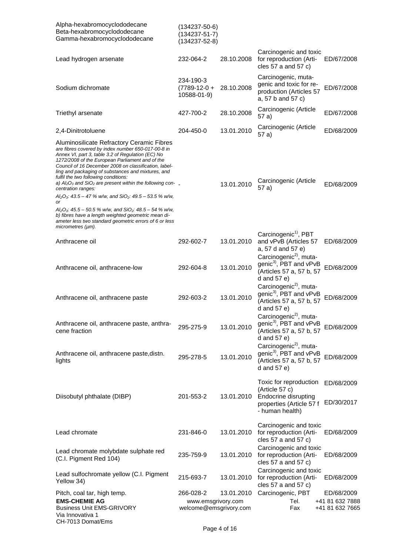| Alpha-hexabromocyclododecane<br>Beta-hexabromocyclododecane<br>Gamma-hexabromocyclododecane                                                                                                                                                                                                                                                                                                                                               | (134237-50-6)<br>$(134237 - 51 - 7)$<br>$(134237 - 52 - 8)$ |            |                                                                                                                        |                                    |
|-------------------------------------------------------------------------------------------------------------------------------------------------------------------------------------------------------------------------------------------------------------------------------------------------------------------------------------------------------------------------------------------------------------------------------------------|-------------------------------------------------------------|------------|------------------------------------------------------------------------------------------------------------------------|------------------------------------|
| Lead hydrogen arsenate                                                                                                                                                                                                                                                                                                                                                                                                                    | 232-064-2                                                   | 28.10.2008 | Carcinogenic and toxic<br>for reproduction (Arti-<br>cles $57$ a and $57$ c)                                           | ED/67/2008                         |
| Sodium dichromate                                                                                                                                                                                                                                                                                                                                                                                                                         | 234-190-3<br>$(7789-12-0 +$<br>10588-01-9)                  | 28.10.2008 | Carcinogenic, muta-<br>genic and toxic for re-<br>production (Articles 57<br>a, 57 b and 57 c)                         | ED/67/2008                         |
| Triethyl arsenate                                                                                                                                                                                                                                                                                                                                                                                                                         | 427-700-2                                                   | 28.10.2008 | Carcinogenic (Article<br>57 a)                                                                                         | ED/67/2008                         |
| 2,4-Dinitrotoluene                                                                                                                                                                                                                                                                                                                                                                                                                        | 204-450-0                                                   | 13.01.2010 | Carcinogenic (Article<br>57 a)                                                                                         | ED/68/2009                         |
| Aluminosilicate Refractory Ceramic Fibres<br>are fibres covered by index number 650-017-00-8 in<br>Annex VI, part 3, table 3.2 of Regulation (EC) No<br>1272/2008 of the European Parliament and of the<br>Council of 16 December 2008 on classification, label-<br>ling and packaging of substances and mixtures, and<br>fulfil the two following conditions:<br>a) $Al_2O_3$ and SiO <sub>2</sub> are present within the following con- |                                                             |            | Carcinogenic (Article                                                                                                  |                                    |
| centration ranges:                                                                                                                                                                                                                                                                                                                                                                                                                        |                                                             | 13.01.2010 | 57 a)                                                                                                                  | ED/68/2009                         |
| $Al_2O_3$ : 43.5 – 47 % w/w, and SiO <sub>2</sub> : 49.5 – 53.5 % w/w,<br>or<br>$Al_2O_3$ : 45.5 – 50.5 % w/w, and SiO <sub>2</sub> : 48.5 – 54 % w/w,<br>b) fibres have a length weighted geometric mean di-<br>ameter less two standard geometric errors of 6 or less<br>micrometers (µm).                                                                                                                                              |                                                             |            |                                                                                                                        |                                    |
| Anthracene oil                                                                                                                                                                                                                                                                                                                                                                                                                            | 292-602-7                                                   | 13.01.2010 | Carcinogenic <sup>1)</sup> , PBT<br>and vPvB (Articles 57<br>a, 57 d and 57 e)                                         | ED/68/2009                         |
| Anthracene oil, anthracene-low                                                                                                                                                                                                                                                                                                                                                                                                            | 292-604-8                                                   | 13.01.2010 | Carcinogenic <sup>2)</sup> , muta-<br>genic <sup>3)</sup> , PBT and vPvB<br>(Articles 57 a, 57 b, 57<br>d and $57 e$ ) | ED/68/2009                         |
| Anthracene oil, anthracene paste                                                                                                                                                                                                                                                                                                                                                                                                          | 292-603-2                                                   | 13.01.2010 | Carcinogenic <sup>2)</sup> , muta-<br>genic <sup>3)</sup> , PBT and vPvB<br>(Articles 57 a, 57 b, 57<br>d and $57 e$   | ED/68/2009                         |
| Anthracene oil, anthracene paste, anthra-<br>cene fraction                                                                                                                                                                                                                                                                                                                                                                                | 295-275-9                                                   | 13.01.2010 | Carcinogenic <sup>2)</sup> , muta-<br>genic <sup>3)</sup> , PBT and vPvB<br>(Articles 57 a, 57 b, 57<br>d and $57 e$ ) | ED/68/2009                         |
| Anthracene oil, anthracene paste, distn.<br>lights                                                                                                                                                                                                                                                                                                                                                                                        | 295-278-5                                                   | 13.01.2010 | Carcinogenic <sup>2)</sup> , muta-<br>genic <sup>3)</sup> , PBT and vPvB<br>(Articles 57 a, 57 b, 57<br>d and $57 e$ ) | ED/68/2009                         |
| Diisobutyl phthalate (DIBP)                                                                                                                                                                                                                                                                                                                                                                                                               | 201-553-2                                                   | 13.01.2010 | Toxic for reproduction<br>(Article 57 c)<br>Endocrine disrupting<br>properties (Article 57 f<br>- human health)        | ED/68/2009<br>ED/30/2017           |
| Lead chromate                                                                                                                                                                                                                                                                                                                                                                                                                             | 231-846-0                                                   | 13.01.2010 | Carcinogenic and toxic<br>for reproduction (Arti-<br>cles 57 a and 57 c)                                               | ED/68/2009                         |
| Lead chromate molybdate sulphate red<br>(C.I. Pigment Red 104)                                                                                                                                                                                                                                                                                                                                                                            | 235-759-9                                                   | 13.01.2010 | Carcinogenic and toxic<br>for reproduction (Arti-<br>cles 57 a and 57 c)                                               | ED/68/2009                         |
| Lead sulfochromate yellow (C.I. Pigment<br>Yellow 34)                                                                                                                                                                                                                                                                                                                                                                                     | 215-693-7                                                   | 13.01.2010 | Carcinogenic and toxic<br>for reproduction (Arti-<br>cles 57 a and 57 c)                                               | ED/68/2009                         |
| Pitch, coal tar, high temp.                                                                                                                                                                                                                                                                                                                                                                                                               | 266-028-2                                                   | 13.01.2010 | Carcinogenic, PBT                                                                                                      | ED/68/2009                         |
| <b>EMS-CHEMIE AG</b><br><b>Business Unit EMS-GRIVORY</b><br>Via Innovativa 1<br>CH-7013 Domat/Ems                                                                                                                                                                                                                                                                                                                                         | www.emsgrivory.com<br>welcome@emsgrivory.com                |            | Tel.<br>Fax                                                                                                            | +41 81 632 7888<br>+41 81 632 7665 |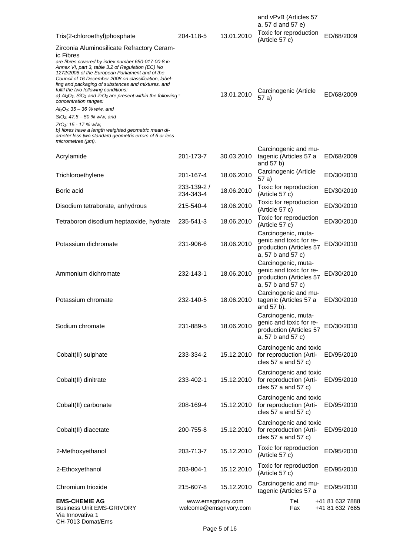| Tris(2-chloroethyl)phosphate                                                                                                                                                                                                                                                                                                                                                                                                                                                                                            | 204-118-5                                    | 13.01.2010 | and vPvB (Articles 57<br>a, 57 d and 57 e)<br>Toxic for reproduction                           | ED/68/2009                         |
|-------------------------------------------------------------------------------------------------------------------------------------------------------------------------------------------------------------------------------------------------------------------------------------------------------------------------------------------------------------------------------------------------------------------------------------------------------------------------------------------------------------------------|----------------------------------------------|------------|------------------------------------------------------------------------------------------------|------------------------------------|
|                                                                                                                                                                                                                                                                                                                                                                                                                                                                                                                         |                                              |            | (Article 57 c)                                                                                 |                                    |
| Zirconia Aluminosilicate Refractory Ceram-<br>ic Fibres<br>are fibres covered by index number 650-017-00-8 in<br>Annex VI, part 3, table 3.2 of Regulation (EC) No<br>1272/2008 of the European Parliament and of the<br>Council of 16 December 2008 on classification, label-<br>ling and packaging of substances and mixtures, and<br>fulfil the two following conditions:<br>a) $Al_2O_3$ , SiO <sub>2</sub> and ZrO <sub>2</sub> are present within the following $\overline{\phantom{a}}$<br>concentration ranges: |                                              | 13.01.2010 | Carcinogenic (Article<br>57 a)                                                                 | ED/68/2009                         |
| $Al_2O_3$ : 35 – 36 % w/w, and<br>$SiO2: 47.5 - 50 % w/w, and$                                                                                                                                                                                                                                                                                                                                                                                                                                                          |                                              |            |                                                                                                |                                    |
| ZrO <sub>2</sub> : 15 - 17 % w/w,<br>b) fibres have a length weighted geometric mean di-<br>ameter less two standard geometric errors of 6 or less<br>micrometers (µm).                                                                                                                                                                                                                                                                                                                                                 |                                              |            |                                                                                                |                                    |
| Acrylamide                                                                                                                                                                                                                                                                                                                                                                                                                                                                                                              | 201-173-7                                    | 30.03.2010 | Carcinogenic and mu-<br>tagenic (Articles 57 a<br>and 57 b)                                    | ED/68/2009                         |
| Trichloroethylene                                                                                                                                                                                                                                                                                                                                                                                                                                                                                                       | 201-167-4                                    | 18.06.2010 | Carcinogenic (Article<br>57 a)                                                                 | ED/30/2010                         |
| Boric acid                                                                                                                                                                                                                                                                                                                                                                                                                                                                                                              | 233-139-2 /<br>234-343-4                     | 18.06.2010 | Toxic for reproduction<br>(Article 57 c)                                                       | ED/30/2010                         |
| Disodium tetraborate, anhydrous                                                                                                                                                                                                                                                                                                                                                                                                                                                                                         | 215-540-4                                    | 18.06.2010 | Toxic for reproduction<br>(Article 57 c)                                                       | ED/30/2010                         |
| Tetraboron disodium heptaoxide, hydrate                                                                                                                                                                                                                                                                                                                                                                                                                                                                                 | 235-541-3                                    | 18.06.2010 | Toxic for reproduction<br>(Article 57 c)                                                       | ED/30/2010                         |
| Potassium dichromate                                                                                                                                                                                                                                                                                                                                                                                                                                                                                                    | 231-906-6                                    | 18.06.2010 | Carcinogenic, muta-<br>genic and toxic for re-<br>production (Articles 57<br>a, 57 b and 57 c) | ED/30/2010                         |
| Ammonium dichromate                                                                                                                                                                                                                                                                                                                                                                                                                                                                                                     | 232-143-1                                    | 18.06.2010 | Carcinogenic, muta-<br>genic and toxic for re-<br>production (Articles 57<br>a, 57 b and 57 c) | ED/30/2010                         |
| Potassium chromate                                                                                                                                                                                                                                                                                                                                                                                                                                                                                                      | 232-140-5                                    | 18.06.2010 | Carcinogenic and mu-<br>tagenic (Articles 57 a<br>and 57 b).                                   | ED/30/2010                         |
| Sodium chromate                                                                                                                                                                                                                                                                                                                                                                                                                                                                                                         | 231-889-5                                    | 18.06.2010 | Carcinogenic, muta-<br>genic and toxic for re-<br>production (Articles 57<br>a, 57 b and 57 c) | ED/30/2010                         |
| Cobalt(II) sulphate                                                                                                                                                                                                                                                                                                                                                                                                                                                                                                     | 233-334-2                                    | 15.12.2010 | Carcinogenic and toxic<br>for reproduction (Arti-<br>cles 57 a and 57 c)                       | ED/95/2010                         |
| Cobalt(II) dinitrate                                                                                                                                                                                                                                                                                                                                                                                                                                                                                                    | 233-402-1                                    | 15.12.2010 | Carcinogenic and toxic<br>for reproduction (Arti-<br>cles $57$ a and $57$ c)                   | ED/95/2010                         |
| Cobalt(II) carbonate                                                                                                                                                                                                                                                                                                                                                                                                                                                                                                    | 208-169-4                                    | 15.12.2010 | Carcinogenic and toxic<br>for reproduction (Arti-<br>cles 57 a and 57 c)                       | ED/95/2010                         |
| Cobalt(II) diacetate                                                                                                                                                                                                                                                                                                                                                                                                                                                                                                    | 200-755-8                                    | 15.12.2010 | Carcinogenic and toxic<br>for reproduction (Arti-<br>cles $57$ a and $57$ c)                   | ED/95/2010                         |
| 2-Methoxyethanol                                                                                                                                                                                                                                                                                                                                                                                                                                                                                                        | 203-713-7                                    | 15.12.2010 | Toxic for reproduction<br>(Article 57 c)                                                       | ED/95/2010                         |
| 2-Ethoxyethanol                                                                                                                                                                                                                                                                                                                                                                                                                                                                                                         | 203-804-1                                    | 15.12.2010 | Toxic for reproduction<br>(Article 57 c)                                                       | ED/95/2010                         |
| Chromium trioxide                                                                                                                                                                                                                                                                                                                                                                                                                                                                                                       | 215-607-8                                    | 15.12.2010 | Carcinogenic and mu-<br>tagenic (Articles 57 a                                                 | ED/95/2010                         |
| <b>EMS-CHEMIE AG</b><br><b>Business Unit EMS-GRIVORY</b><br>Via Innovativa 1<br>CH-7013 Domat/Ems                                                                                                                                                                                                                                                                                                                                                                                                                       | www.emsgrivory.com<br>welcome@emsgrivory.com |            | Tel.<br>Fax                                                                                    | +41 81 632 7888<br>+41 81 632 7665 |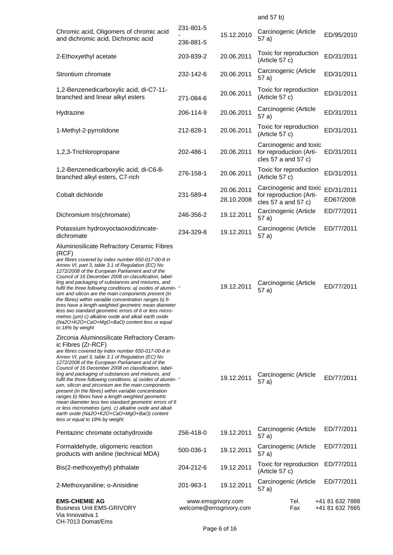| Chromic acid, Oligomers of chromic acid<br>and dichromic acid, Dichromic acid                                                                                                                                                                                                                                                                                                                                                                                                                                                                                                                                                                                                                                                                                                       | 231-801-5<br>236-881-5                       | 15.12.2010               | Carcinogenic (Article<br>57 a)                                               | ED/95/2010                         |
|-------------------------------------------------------------------------------------------------------------------------------------------------------------------------------------------------------------------------------------------------------------------------------------------------------------------------------------------------------------------------------------------------------------------------------------------------------------------------------------------------------------------------------------------------------------------------------------------------------------------------------------------------------------------------------------------------------------------------------------------------------------------------------------|----------------------------------------------|--------------------------|------------------------------------------------------------------------------|------------------------------------|
| 2-Ethoxyethyl acetate                                                                                                                                                                                                                                                                                                                                                                                                                                                                                                                                                                                                                                                                                                                                                               | 203-839-2                                    | 20.06.2011               | Toxic for reproduction<br>(Article 57 c)                                     | ED/31/2011                         |
| Strontium chromate                                                                                                                                                                                                                                                                                                                                                                                                                                                                                                                                                                                                                                                                                                                                                                  | 232-142-6                                    | 20.06.2011               | Carcinogenic (Article<br>57 a)                                               | ED/31/2011                         |
| 1,2-Benzenedicarboxylic acid, di-C7-11-<br>branched and linear alkyl esters                                                                                                                                                                                                                                                                                                                                                                                                                                                                                                                                                                                                                                                                                                         | 271-084-6                                    | 20.06.2011               | Toxic for reproduction<br>(Article 57 c)                                     | ED/31/2011                         |
| Hydrazine                                                                                                                                                                                                                                                                                                                                                                                                                                                                                                                                                                                                                                                                                                                                                                           | 206-114-9                                    | 20.06.2011               | Carcinogenic (Article<br>57 a)                                               | ED/31/2011                         |
| 1-Methyl-2-pyrrolidone                                                                                                                                                                                                                                                                                                                                                                                                                                                                                                                                                                                                                                                                                                                                                              | 212-828-1                                    | 20.06.2011               | Toxic for reproduction<br>(Article 57 c)                                     | ED/31/2011                         |
| 1,2,3-Trichloropropane                                                                                                                                                                                                                                                                                                                                                                                                                                                                                                                                                                                                                                                                                                                                                              | 202-486-1                                    | 20.06.2011               | Carcinogenic and toxic<br>for reproduction (Arti-<br>cles $57$ a and $57$ c) | ED/31/2011                         |
| 1,2-Benzenedicarboxylic acid, di-C6-8-<br>branched alkyl esters, C7-rich                                                                                                                                                                                                                                                                                                                                                                                                                                                                                                                                                                                                                                                                                                            | 276-158-1                                    | 20.06.2011               | Toxic for reproduction<br>(Article 57 c)                                     | ED/31/2011                         |
| Cobalt dichloride                                                                                                                                                                                                                                                                                                                                                                                                                                                                                                                                                                                                                                                                                                                                                                   | 231-589-4                                    | 20.06.2011<br>28.10.2008 | Carcinogenic and toxic<br>for reproduction (Arti-<br>cles 57 a and 57 c)     | ED/31/2011<br>ED67/2008            |
| Dichromium tris(chromate)                                                                                                                                                                                                                                                                                                                                                                                                                                                                                                                                                                                                                                                                                                                                                           | 246-356-2                                    | 19.12.2011               | Carcinogenic (Article<br>57 a)                                               | ED/77/2011                         |
| Potassium hydroxyoctaoxodizincate-<br>dichromate                                                                                                                                                                                                                                                                                                                                                                                                                                                                                                                                                                                                                                                                                                                                    | 234-329-8                                    | 19.12.2011               | Carcinogenic (Article<br>57 a)                                               | ED/77/2011                         |
| Aluminosilicate Refractory Ceramic Fibres<br>(RCF)<br>are fibres covered by index number 650-017-00-8 in<br>Annex VI, part 3, table 3.1 of Regulation (EC) No<br>1272/2008 of the European Parliament and of the<br>Council of 16 December 2008 on classification, label-<br>ling and packaging of substances and mixtures, and<br>fulfil the three following conditions: a) oxides of alumin-<br>ium and silicon are the main components present (in<br>the fibres) within variable concentration ranges b) fi-<br>bres have a length weighted geometric mean diameter<br>less two standard geometric errors of 6 or less micro-<br>metres (µm) c) alkaline oxide and alkali earth oxide<br>(Na2O+K2O+CaO+MgO+BaO) content less or equal<br>to 18% by weight                       |                                              | 19.12.2011               | Carcinogenic (Article<br>57 a)                                               | ED/77/2011                         |
| Zirconia Aluminosilicate Refractory Ceram-<br>ic Fibres (Zr-RCF)<br>are fibres covered by index number 650-017-00-8 in<br>Annex VI, part 3, table 3.1 of Regulation (EC) No<br>1272/2008 of the European Parliament and of the<br>Council of 16 December 2008 on classification, label-<br>ling and packaging of substances and mixtures, and<br>fulfil the three following conditions: a) oxides of alumin-<br>ium, silicon and zirconium are the main components<br>present (in the fibres) within variable concentration<br>ranges b) fibres have a length weighted geometric<br>mean diameter less two standard geometric errors of 6<br>or less micrometres (µm). c) alkaline oxide and alkali<br>earth oxide (Na2O+K2O+CaO+MgO+BaO) content<br>less or equal to 18% by weight |                                              | 19.12.2011               | Carcinogenic (Article<br>57 a)                                               | ED/77/2011                         |
| Pentazinc chromate octahydroxide                                                                                                                                                                                                                                                                                                                                                                                                                                                                                                                                                                                                                                                                                                                                                    | 256-418-0                                    | 19.12.2011               | Carcinogenic (Article<br>57 a)                                               | ED/77/2011                         |
| Formaldehyde, oligomeric reaction<br>products with aniline (technical MDA)                                                                                                                                                                                                                                                                                                                                                                                                                                                                                                                                                                                                                                                                                                          | 500-036-1                                    | 19.12.2011               | Carcinogenic (Article<br>57 a)                                               | ED/77/2011                         |
| Bis(2-methoxyethyl) phthalate                                                                                                                                                                                                                                                                                                                                                                                                                                                                                                                                                                                                                                                                                                                                                       | 204-212-6                                    | 19.12.2011               | Toxic for reproduction<br>(Article 57 c)                                     | ED/77/2011                         |
| 2-Methoxyaniline; o-Anisidine                                                                                                                                                                                                                                                                                                                                                                                                                                                                                                                                                                                                                                                                                                                                                       | 201-963-1                                    | 19.12.2011               | Carcinogenic (Article<br>57 a)                                               | ED/77/2011                         |
| <b>EMS-CHEMIE AG</b><br><b>Business Unit EMS-GRIVORY</b><br>Via Innovativa 1<br>CH-7013 Domat/Ems                                                                                                                                                                                                                                                                                                                                                                                                                                                                                                                                                                                                                                                                                   | www.emsgrivory.com<br>welcome@emsgrivory.com |                          | Tel.<br>Fax                                                                  | +41 81 632 7888<br>+41 81 632 7665 |

and 57 b)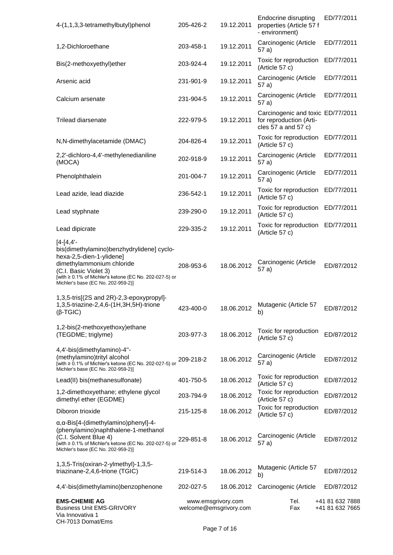| 4-(1,1,3,3-tetramethylbutyl)phenol                                                                                                                                                                                                           | 205-426-2                                    | 19.12.2011 | Endocrine disrupting<br>properties (Article 57 f<br>- environment)                      | ED/77/2011                         |
|----------------------------------------------------------------------------------------------------------------------------------------------------------------------------------------------------------------------------------------------|----------------------------------------------|------------|-----------------------------------------------------------------------------------------|------------------------------------|
| 1,2-Dichloroethane                                                                                                                                                                                                                           | 203-458-1                                    | 19.12.2011 | Carcinogenic (Article<br>57 a)                                                          | ED/77/2011                         |
| Bis(2-methoxyethyl)ether                                                                                                                                                                                                                     | 203-924-4                                    | 19.12.2011 | Toxic for reproduction<br>(Article 57 c)                                                | ED/77/2011                         |
| Arsenic acid                                                                                                                                                                                                                                 | 231-901-9                                    | 19.12.2011 | Carcinogenic (Article<br>57 a)                                                          | ED/77/2011                         |
| Calcium arsenate                                                                                                                                                                                                                             | 231-904-5                                    | 19.12.2011 | Carcinogenic (Article<br>57 a)                                                          | ED/77/2011                         |
| <b>Trilead diarsenate</b>                                                                                                                                                                                                                    | 222-979-5                                    | 19.12.2011 | Carcinogenic and toxic ED/77/2011<br>for reproduction (Arti-<br>cles $57$ a and $57$ c) |                                    |
| N, N-dimethylacetamide (DMAC)                                                                                                                                                                                                                | 204-826-4                                    | 19.12.2011 | Toxic for reproduction<br>(Article 57 c)                                                | ED/77/2011                         |
| 2,2'-dichloro-4,4'-methylenedianiline<br>(MOCA)                                                                                                                                                                                              | 202-918-9                                    | 19.12.2011 | Carcinogenic (Article<br>57 a)                                                          | ED/77/2011                         |
| Phenolphthalein                                                                                                                                                                                                                              | 201-004-7                                    | 19.12.2011 | Carcinogenic (Article<br>57 a)                                                          | ED/77/2011                         |
| Lead azide, lead diazide                                                                                                                                                                                                                     | 236-542-1                                    | 19.12.2011 | Toxic for reproduction<br>(Article 57 c)                                                | ED/77/2011                         |
| Lead styphnate                                                                                                                                                                                                                               | 239-290-0                                    | 19.12.2011 | Toxic for reproduction<br>(Article 57 c)                                                | ED/77/2011                         |
| Lead dipicrate                                                                                                                                                                                                                               | 229-335-2                                    | 19.12.2011 | Toxic for reproduction ED/77/2011<br>(Article 57 c)                                     |                                    |
| $[4 - 14, 4]$<br>bis(dimethylamino)benzhydrylidene] cyclo-<br>hexa-2,5-dien-1-ylidene]<br>dimethylammonium chloride<br>(C.I. Basic Violet 3)<br>[with ≥ 0.1% of Michler's ketone (EC No. 202-027-5) or<br>Michler's base (EC No. 202-959-2)] | 208-953-6                                    | 18.06.2012 | Carcinogenic (Article<br>57 a)                                                          | ED/87/2012                         |
| 1,3,5-tris[(2S and 2R)-2,3-epoxypropyl]-<br>1,3,5-triazine-2,4,6-(1H,3H,5H)-trione<br>$(\beta$ -TGIC)                                                                                                                                        | 423-400-0                                    | 18.06.2012 | Mutagenic (Article 57<br>b)                                                             | ED/87/2012                         |
| 1,2-bis(2-methoxyethoxy)ethane<br>(TEGDME; triglyme)                                                                                                                                                                                         | 203-977-3                                    | 18.06.2012 | Toxic for reproduction<br>(Article 57 c)                                                | ED/87/2012                         |
| 4,4'-bis(dimethylamino)-4"-<br>(methylamino)trityl alcohol<br>[with ≥ 0.1% of Michler's ketone (EC No. 202-027-5) or<br>Michler's base (EC No. 202-959-2)]                                                                                   | 209-218-2                                    | 18.06.2012 | Carcinogenic (Article<br>57 a)                                                          | ED/87/2012                         |
| Lead(II) bis(methanesulfonate)                                                                                                                                                                                                               | 401-750-5                                    | 18.06.2012 | Toxic for reproduction<br>(Article 57 c)                                                | ED/87/2012                         |
| 1,2-dimethoxyethane; ethylene glycol<br>dimethyl ether (EGDME)                                                                                                                                                                               | 203-794-9                                    | 18.06.2012 | Toxic for reproduction<br>(Article 57 c)                                                | ED/87/2012                         |
| Diboron trioxide                                                                                                                                                                                                                             | 215-125-8                                    | 18.06.2012 | Toxic for reproduction<br>(Article 57 c)                                                | ED/87/2012                         |
| $\alpha$ , $\alpha$ -Bis[4-(dimethylamino)phenyl]-4-<br>(phenylamino)naphthalene-1-methanol<br>(C.I. Solvent Blue 4)<br>[with ≥ 0.1% of Michler's ketone (EC No. 202-027-5) or<br>Michler's base (EC No. 202-959-2)]                         | 229-851-8                                    | 18.06.2012 | Carcinogenic (Article<br>57 a)                                                          | ED/87/2012                         |
| 1,3,5-Tris(oxiran-2-ylmethyl)-1,3,5-<br>triazinane-2,4,6-trione (TGIC)                                                                                                                                                                       | 219-514-3                                    | 18.06.2012 | Mutagenic (Article 57<br>b)                                                             | ED/87/2012                         |
| 4,4'-bis(dimethylamino)benzophenone                                                                                                                                                                                                          | 202-027-5                                    | 18.06.2012 | Carcinogenic (Article                                                                   | ED/87/2012                         |
| <b>EMS-CHEMIE AG</b><br><b>Business Unit EMS-GRIVORY</b><br>Via Innovativa 1<br>CH-7013 Domat/Ems                                                                                                                                            | www.emsgrivory.com<br>welcome@emsgrivory.com |            | Tel.<br>Fax                                                                             | +41 81 632 7888<br>+41 81 632 7665 |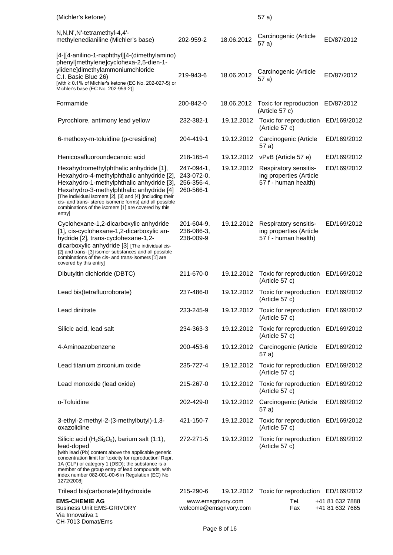| (Michler's ketone)                                                                                                                                                                                                                                                                                                                                                   |                                                     |            | 57a)                                                                     |                                    |
|----------------------------------------------------------------------------------------------------------------------------------------------------------------------------------------------------------------------------------------------------------------------------------------------------------------------------------------------------------------------|-----------------------------------------------------|------------|--------------------------------------------------------------------------|------------------------------------|
| N,N,N',N'-tetramethyl-4,4'-<br>methylenedianiline (Michler's base)                                                                                                                                                                                                                                                                                                   | 202-959-2                                           | 18.06.2012 | Carcinogenic (Article<br>57 a)                                           | ED/87/2012                         |
| [4-[[4-anilino-1-naphthyl][4-(dimethylamino)<br>phenyl]methylene]cyclohexa-2,5-dien-1-<br>ylidene]dimethylammoniumchloride<br>C.I. Basic Blue 26)<br>[with ≥ 0.1% of Michler's ketone (EC No. 202-027-5) or<br>Michler's base (EC No. 202-959-2)]                                                                                                                    | 219-943-6                                           | 18.06.2012 | Carcinogenic (Article<br>57 a)                                           | ED/87/2012                         |
| Formamide                                                                                                                                                                                                                                                                                                                                                            | 200-842-0                                           | 18.06.2012 | Toxic for reproduction<br>(Article 57 c)                                 | ED/87/2012                         |
| Pyrochlore, antimony lead yellow                                                                                                                                                                                                                                                                                                                                     | 232-382-1                                           | 19.12.2012 | Toxic for reproduction<br>(Article 57 c)                                 | ED/169/2012                        |
| 6-methoxy-m-toluidine (p-cresidine)                                                                                                                                                                                                                                                                                                                                  | 204-419-1                                           | 19.12.2012 | Carcinogenic (Article<br>57 a)                                           | ED/169/2012                        |
| Henicosafluoroundecanoic acid                                                                                                                                                                                                                                                                                                                                        | 218-165-4                                           | 19.12.2012 | vPvB (Article 57 e)                                                      | ED/169/2012                        |
| Hexahydromethylphthalic anhydride [1],<br>Hexahydro-4-methylphthalic anhydride [2],<br>Hexahydro-1-methylphthalic anhydride [3],<br>Hexahydro-3-methylphthalic anhydride [4]<br>[The individual isomers [2], [3] and [4] (including their<br>cis- and trans-stereo isomeric forms) and all possible<br>combinations of the isomers [1] are covered by this<br>entry] | 247-094-1,<br>243-072-0,<br>256-356-4,<br>260-566-1 | 19.12.2012 | Respiratory sensitis-<br>ing properties (Article<br>57 f - human health) | ED/169/2012                        |
| Cyclohexane-1,2-dicarboxylic anhydride<br>[1], cis-cyclohexane-1,2-dicarboxylic an-<br>hydride [2], trans-cyclohexane-1,2-<br>dicarboxylic anhydride [3] [The individual cis-<br>[2] and trans- [3] isomer substances and all possible<br>combinations of the cis- and trans-isomers [1] are<br>covered by this entry]                                               | 201-604-9,<br>236-086-3,<br>238-009-9               | 19.12.2012 | Respiratory sensitis-<br>ing properties (Article<br>57 f - human health) | ED/169/2012                        |
| Dibutyltin dichloride (DBTC)                                                                                                                                                                                                                                                                                                                                         | 211-670-0                                           | 19.12.2012 | Toxic for reproduction<br>(Article 57 c)                                 | ED/169/2012                        |
| Lead bis(tetrafluoroborate)                                                                                                                                                                                                                                                                                                                                          | 237-486-0                                           | 19.12.2012 | Toxic for reproduction<br>(Article 57 c)                                 | ED/169/2012                        |
| Lead dinitrate                                                                                                                                                                                                                                                                                                                                                       | 233-245-9                                           | 19.12.2012 | Toxic for reproduction ED/169/2012<br>(Article 57 c)                     |                                    |
| Silicic acid, lead salt                                                                                                                                                                                                                                                                                                                                              | 234-363-3                                           | 19.12.2012 | Toxic for reproduction ED/169/2012<br>(Article 57 c)                     |                                    |
| 4-Aminoazobenzene                                                                                                                                                                                                                                                                                                                                                    | 200-453-6                                           | 19.12.2012 | Carcinogenic (Article<br>57 a)                                           | ED/169/2012                        |
| Lead titanium zirconium oxide                                                                                                                                                                                                                                                                                                                                        | 235-727-4                                           | 19.12.2012 | Toxic for reproduction<br>(Article 57 c)                                 | ED/169/2012                        |
| Lead monoxide (lead oxide)                                                                                                                                                                                                                                                                                                                                           | 215-267-0                                           | 19.12.2012 | Toxic for reproduction<br>(Article 57 c)                                 | ED/169/2012                        |
| o-Toluidine                                                                                                                                                                                                                                                                                                                                                          | 202-429-0                                           | 19.12.2012 | Carcinogenic (Article<br>57 a)                                           | ED/169/2012                        |
| 3-ethyl-2-methyl-2-(3-methylbutyl)-1,3-<br>oxazolidine                                                                                                                                                                                                                                                                                                               | 421-150-7                                           | 19.12.2012 | Toxic for reproduction<br>(Article 57 c)                                 | ED/169/2012                        |
| Silicic acid ( $H_2Si_2O_5$ ), barium salt (1:1),<br>lead-doped<br>[with lead (Pb) content above the applicable generic<br>concentration limit for 'toxicity for reproduction' Repr.<br>1A (CLP) or category 1 (DSD); the substance is a<br>member of the group entry of lead compounds, with<br>index number 082-001-00-6 in Regulation (EC) No<br>1272/2008]       | 272-271-5                                           | 19.12.2012 | Toxic for reproduction ED/169/2012<br>(Article 57 c)                     |                                    |
| Trilead bis(carbonate)dihydroxide                                                                                                                                                                                                                                                                                                                                    | 215-290-6                                           |            | 19.12.2012 Toxic for reproduction ED/169/2012                            |                                    |
| <b>EMS-CHEMIE AG</b><br><b>Business Unit EMS-GRIVORY</b><br>Via Innovativa 1<br>CH-7013 Domat/Ems                                                                                                                                                                                                                                                                    | www.emsgrivory.com<br>welcome@emsgrivory.com        |            | Tel.<br>Fax                                                              | +41 81 632 7888<br>+41 81 632 7665 |
|                                                                                                                                                                                                                                                                                                                                                                      |                                                     |            |                                                                          |                                    |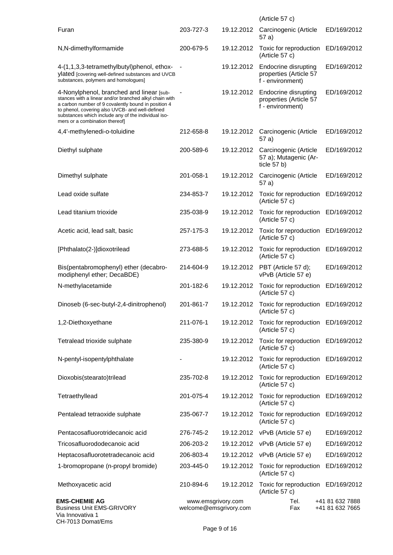|                                                                                                                                                                                                                                                                                                       |                                              |            | (Article 57 c)                                                     |                                    |
|-------------------------------------------------------------------------------------------------------------------------------------------------------------------------------------------------------------------------------------------------------------------------------------------------------|----------------------------------------------|------------|--------------------------------------------------------------------|------------------------------------|
| Furan                                                                                                                                                                                                                                                                                                 | 203-727-3                                    | 19.12.2012 | Carcinogenic (Article<br>57 a)                                     | ED/169/2012                        |
| N,N-dimethylformamide                                                                                                                                                                                                                                                                                 | 200-679-5                                    | 19.12.2012 | Toxic for reproduction<br>(Article 57 c)                           | ED/169/2012                        |
| 4-(1,1,3,3-tetramethylbutyl)phenol, ethox-<br>ylated [covering well-defined substances and UVCB<br>substances, polymers and homologues]                                                                                                                                                               |                                              | 19.12.2012 | Endocrine disrupting<br>properties (Article 57<br>f - environment) | ED/169/2012                        |
| 4-Nonylphenol, branched and linear [sub-<br>stances with a linear and/or branched alkyl chain with<br>a carbon number of 9 covalently bound in position 4<br>to phenol, covering also UVCB- and well-defined<br>substances which include any of the individual iso-<br>mers or a combination thereof] |                                              | 19.12.2012 | Endocrine disrupting<br>properties (Article 57<br>f - environment) | ED/169/2012                        |
| 4,4'-methylenedi-o-toluidine                                                                                                                                                                                                                                                                          | 212-658-8                                    | 19.12.2012 | Carcinogenic (Article<br>57 a)                                     | ED/169/2012                        |
| Diethyl sulphate                                                                                                                                                                                                                                                                                      | 200-589-6                                    | 19.12.2012 | Carcinogenic (Article<br>57 a); Mutagenic (Ar-<br>ticle 57 b)      | ED/169/2012                        |
| Dimethyl sulphate                                                                                                                                                                                                                                                                                     | 201-058-1                                    | 19.12.2012 | Carcinogenic (Article<br>57 a)                                     | ED/169/2012                        |
| Lead oxide sulfate                                                                                                                                                                                                                                                                                    | 234-853-7                                    | 19.12.2012 | Toxic for reproduction<br>(Article 57 c)                           | ED/169/2012                        |
| Lead titanium trioxide                                                                                                                                                                                                                                                                                | 235-038-9                                    | 19.12.2012 | Toxic for reproduction<br>(Article 57 c)                           | ED/169/2012                        |
| Acetic acid, lead salt, basic                                                                                                                                                                                                                                                                         | 257-175-3                                    | 19.12.2012 | Toxic for reproduction<br>(Article 57 c)                           | ED/169/2012                        |
| [Phthalato(2-)]dioxotrilead                                                                                                                                                                                                                                                                           | 273-688-5                                    | 19.12.2012 | Toxic for reproduction<br>(Article 57 c)                           | ED/169/2012                        |
| Bis(pentabromophenyl) ether (decabro-<br>modiphenyl ether; DecaBDE)                                                                                                                                                                                                                                   | 214-604-9                                    | 19.12.2012 | PBT (Article 57 d);<br>vPvB (Article 57 e)                         | ED/169/2012                        |
| N-methylacetamide                                                                                                                                                                                                                                                                                     | 201-182-6                                    | 19.12.2012 | Toxic for reproduction<br>(Article 57 c)                           | ED/169/2012                        |
| Dinoseb (6-sec-butyl-2,4-dinitrophenol)                                                                                                                                                                                                                                                               | 201-861-7                                    | 19.12.2012 | Toxic for reproduction ED/169/2012<br>$(A$ rticle 5/ $c)$          |                                    |
| 1,2-Diethoxyethane                                                                                                                                                                                                                                                                                    | 211-076-1                                    | 19.12.2012 | Toxic for reproduction ED/169/2012<br>(Article 57 c)               |                                    |
| Tetralead trioxide sulphate                                                                                                                                                                                                                                                                           | 235-380-9                                    | 19.12.2012 | Toxic for reproduction<br>(Article 57 c)                           | ED/169/2012                        |
| N-pentyl-isopentylphthalate                                                                                                                                                                                                                                                                           |                                              | 19.12.2012 | Toxic for reproduction<br>(Article 57 c)                           | ED/169/2012                        |
| Dioxobis(stearato)trilead                                                                                                                                                                                                                                                                             | 235-702-8                                    |            | 19.12.2012 Toxic for reproduction<br>(Article 57 c)                | ED/169/2012                        |
| Tetraethyllead                                                                                                                                                                                                                                                                                        | 201-075-4                                    | 19.12.2012 | Toxic for reproduction<br>(Article 57 c)                           | ED/169/2012                        |
| Pentalead tetraoxide sulphate                                                                                                                                                                                                                                                                         | 235-067-7                                    | 19.12.2012 | Toxic for reproduction<br>(Article 57 c)                           | ED/169/2012                        |
| Pentacosafluorotridecanoic acid                                                                                                                                                                                                                                                                       | 276-745-2                                    |            | 19.12.2012 vPvB (Article 57 e)                                     | ED/169/2012                        |
| Tricosafluorododecanoic acid                                                                                                                                                                                                                                                                          | 206-203-2                                    | 19.12.2012 | vPvB (Article 57 e)                                                | ED/169/2012                        |
| Heptacosafluorotetradecanoic acid                                                                                                                                                                                                                                                                     | 206-803-4                                    |            | 19.12.2012 vPvB (Article 57 e)                                     | ED/169/2012                        |
| 1-bromopropane (n-propyl bromide)                                                                                                                                                                                                                                                                     | 203-445-0                                    | 19.12.2012 | Toxic for reproduction<br>(Article 57 c)                           | ED/169/2012                        |
| Methoxyacetic acid                                                                                                                                                                                                                                                                                    | 210-894-6                                    | 19.12.2012 | Toxic for reproduction ED/169/2012<br>(Article 57 c)               |                                    |
| <b>EMS-CHEMIE AG</b><br><b>Business Unit EMS-GRIVORY</b><br>Via Innovativa 1<br>CH-7013 Domat/Ems                                                                                                                                                                                                     | www.emsgrivory.com<br>welcome@emsgrivory.com |            | Tel.<br>Fax                                                        | +41 81 632 7888<br>+41 81 632 7665 |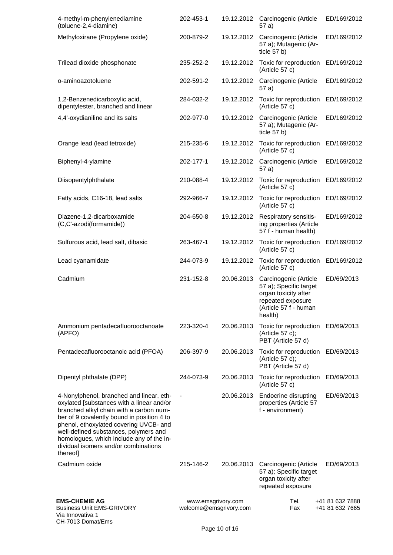| 4-methyl-m-phenylenediamine<br>(toluene-2,4-diamine)                                                                                                                                                                                                                                                                                                              | 202-453-1                                    |            | 19.12.2012 Carcinogenic (Article<br>57 a)                                                                                        | ED/169/2012                        |
|-------------------------------------------------------------------------------------------------------------------------------------------------------------------------------------------------------------------------------------------------------------------------------------------------------------------------------------------------------------------|----------------------------------------------|------------|----------------------------------------------------------------------------------------------------------------------------------|------------------------------------|
| Methyloxirane (Propylene oxide)                                                                                                                                                                                                                                                                                                                                   | 200-879-2                                    | 19.12.2012 | Carcinogenic (Article<br>57 a); Mutagenic (Ar-<br>ticle $57 b$ )                                                                 | ED/169/2012                        |
| Trilead dioxide phosphonate                                                                                                                                                                                                                                                                                                                                       | 235-252-2                                    | 19.12.2012 | Toxic for reproduction<br>(Article 57 c)                                                                                         | ED/169/2012                        |
| o-aminoazotoluene                                                                                                                                                                                                                                                                                                                                                 | 202-591-2                                    | 19.12.2012 | Carcinogenic (Article<br>57 a)                                                                                                   | ED/169/2012                        |
| 1,2-Benzenedicarboxylic acid,<br>dipentylester, branched and linear                                                                                                                                                                                                                                                                                               | 284-032-2                                    | 19.12.2012 | Toxic for reproduction<br>(Article 57 c)                                                                                         | ED/169/2012                        |
| 4,4'-oxydianiline and its salts                                                                                                                                                                                                                                                                                                                                   | 202-977-0                                    | 19.12.2012 | Carcinogenic (Article<br>57 a); Mutagenic (Ar-<br>ticle $57 b$ )                                                                 | ED/169/2012                        |
| Orange lead (lead tetroxide)                                                                                                                                                                                                                                                                                                                                      | 215-235-6                                    | 19.12.2012 | Toxic for reproduction<br>(Article 57 c)                                                                                         | ED/169/2012                        |
| Biphenyl-4-ylamine                                                                                                                                                                                                                                                                                                                                                | 202-177-1                                    | 19.12.2012 | Carcinogenic (Article<br>57 a)                                                                                                   | ED/169/2012                        |
| Diisopentylphthalate                                                                                                                                                                                                                                                                                                                                              | 210-088-4                                    | 19.12.2012 | Toxic for reproduction<br>(Article 57 c)                                                                                         | ED/169/2012                        |
| Fatty acids, C16-18, lead salts                                                                                                                                                                                                                                                                                                                                   | 292-966-7                                    | 19.12.2012 | Toxic for reproduction<br>(Article 57 c)                                                                                         | ED/169/2012                        |
| Diazene-1,2-dicarboxamide<br>(C,C'-azodi(formamide))                                                                                                                                                                                                                                                                                                              | 204-650-8                                    | 19.12.2012 | Respiratory sensitis-<br>ing properties (Article<br>57 f - human health)                                                         | ED/169/2012                        |
| Sulfurous acid, lead salt, dibasic                                                                                                                                                                                                                                                                                                                                | 263-467-1                                    | 19.12.2012 | Toxic for reproduction<br>(Article 57 c)                                                                                         | ED/169/2012                        |
| Lead cyanamidate                                                                                                                                                                                                                                                                                                                                                  | 244-073-9                                    | 19.12.2012 | Toxic for reproduction<br>(Article 57 c)                                                                                         | ED/169/2012                        |
| Cadmium                                                                                                                                                                                                                                                                                                                                                           | 231-152-8                                    | 20.06.2013 | Carcinogenic (Article<br>57 a); Specific target<br>organ toxicity after<br>repeated exposure<br>(Article 57 f - human<br>health) | ED/69/2013                         |
| Ammonium pentadecafluorooctanoate<br>(APFO)                                                                                                                                                                                                                                                                                                                       | 223-320-4                                    | 20.06.2013 | Toxic for reproduction ED/69/2013<br>(Article 57 c);<br>PBT (Article 57 d)                                                       |                                    |
| Pentadecafluorooctanoic acid (PFOA)                                                                                                                                                                                                                                                                                                                               | 206-397-9                                    | 20.06.2013 | Toxic for reproduction<br>(Article 57 c);<br>PBT (Article 57 d)                                                                  | ED/69/2013                         |
| Dipentyl phthalate (DPP)                                                                                                                                                                                                                                                                                                                                          | 244-073-9                                    | 20.06.2013 | Toxic for reproduction ED/69/2013<br>(Article 57 c)                                                                              |                                    |
| 4-Nonylphenol, branched and linear, eth-<br>oxylated [substances with a linear and/or<br>branched alkyl chain with a carbon num-<br>ber of 9 covalently bound in position 4 to<br>phenol, ethoxylated covering UVCB- and<br>well-defined substances, polymers and<br>homologues, which include any of the in-<br>dividual isomers and/or combinations<br>thereof] |                                              | 20.06.2013 | Endocrine disrupting<br>properties (Article 57<br>f - environment)                                                               | ED/69/2013                         |
| Cadmium oxide                                                                                                                                                                                                                                                                                                                                                     | 215-146-2                                    | 20.06.2013 | Carcinogenic (Article<br>57 a); Specific target<br>organ toxicity after<br>repeated exposure                                     | ED/69/2013                         |
| <b>EMS-CHEMIE AG</b><br><b>Business Unit EMS-GRIVORY</b><br>Via Innovativa 1<br>CH-7013 Domat/Ems                                                                                                                                                                                                                                                                 | www.emsgrivory.com<br>welcome@emsgrivory.com |            | Tel.<br>Fax                                                                                                                      | +41 81 632 7888<br>+41 81 632 7665 |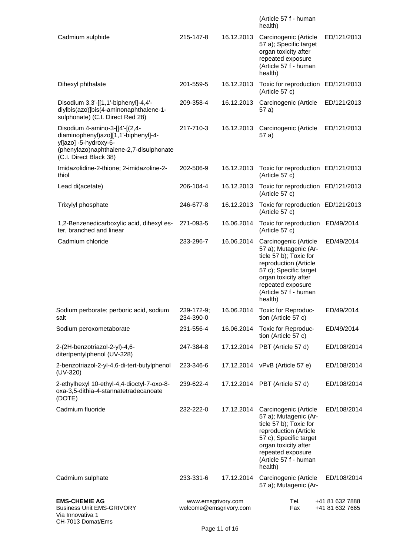|                                                                                                                                                                      |                                              |            | (Article 57 f - human<br>health)                                                                                                                                                                             |                                    |
|----------------------------------------------------------------------------------------------------------------------------------------------------------------------|----------------------------------------------|------------|--------------------------------------------------------------------------------------------------------------------------------------------------------------------------------------------------------------|------------------------------------|
| Cadmium sulphide                                                                                                                                                     | 215-147-8                                    | 16.12.2013 | Carcinogenic (Article<br>57 a); Specific target<br>organ toxicity after<br>repeated exposure<br>(Article 57 f - human<br>health)                                                                             | ED/121/2013                        |
| Dihexyl phthalate                                                                                                                                                    | 201-559-5                                    | 16.12.2013 | Toxic for reproduction ED/121/2013<br>(Article 57 c)                                                                                                                                                         |                                    |
| Disodium 3,3'-[[1,1'-biphenyl]-4,4'-<br>diylbis(azo)]bis(4-aminonaphthalene-1-<br>sulphonate) (C.I. Direct Red 28)                                                   | 209-358-4                                    | 16.12.2013 | Carcinogenic (Article<br>57 a)                                                                                                                                                                               | ED/121/2013                        |
| Disodium 4-amino-3-[[4'-[(2,4-<br>diaminophenyl)azo][1,1'-biphenyl]-4-<br>yl]azo] -5-hydroxy-6-<br>(phenylazo)naphthalene-2,7-disulphonate<br>(C.I. Direct Black 38) | 217-710-3                                    | 16.12.2013 | Carcinogenic (Article<br>57 a)                                                                                                                                                                               | ED/121/2013                        |
| Imidazolidine-2-thione; 2-imidazoline-2-<br>thiol                                                                                                                    | 202-506-9                                    | 16.12.2013 | Toxic for reproduction ED/121/2013<br>(Article 57 c)                                                                                                                                                         |                                    |
| Lead di(acetate)                                                                                                                                                     | 206-104-4                                    | 16.12.2013 | Toxic for reproduction ED/121/2013<br>(Article 57 c)                                                                                                                                                         |                                    |
| Trixylyl phosphate                                                                                                                                                   | 246-677-8                                    | 16.12.2013 | Toxic for reproduction ED/121/2013<br>(Article 57 c)                                                                                                                                                         |                                    |
| 1,2-Benzenedicarboxylic acid, dihexyl es-<br>ter, branched and linear                                                                                                | 271-093-5                                    | 16.06.2014 | Toxic for reproduction<br>(Article 57 c)                                                                                                                                                                     | ED/49/2014                         |
| Cadmium chloride                                                                                                                                                     | 233-296-7                                    | 16.06.2014 | Carcinogenic (Article<br>57 a); Mutagenic (Ar-<br>ticle 57 b); Toxic for<br>reproduction (Article<br>57 c); Specific target<br>organ toxicity after<br>repeated exposure<br>(Article 57 f - human<br>health) | ED/49/2014                         |
| Sodium perborate; perboric acid, sodium<br>salt                                                                                                                      | 239-172-9;<br>234-390-0                      | 16.06.2014 | Toxic for Reproduc-<br>tion (Article 57 c)                                                                                                                                                                   | ED/49/2014                         |
| Sodium peroxometaborate                                                                                                                                              | 231-556-4                                    | 16.06.2014 | Toxic for Reproduc-<br>tion (Article 57 c)                                                                                                                                                                   | ED/49/2014                         |
| 2-(2H-benzotriazol-2-yl)-4,6-<br>ditertpentylphenol (UV-328)                                                                                                         | 247-384-8                                    | 17.12.2014 | PBT (Article 57 d)                                                                                                                                                                                           | ED/108/2014                        |
| 2-benzotriazol-2-yl-4,6-di-tert-butylphenol<br>$(UV-320)$                                                                                                            | 223-346-6                                    |            | 17.12.2014 vPvB (Article 57 e)                                                                                                                                                                               | ED/108/2014                        |
| 2-ethylhexyl 10-ethyl-4,4-dioctyl-7-oxo-8-<br>oxa-3,5-dithia-4-stannatetradecanoate<br>(DOTE)                                                                        | 239-622-4                                    |            | 17.12.2014 PBT (Article 57 d)                                                                                                                                                                                | ED/108/2014                        |
| Cadmium fluoride                                                                                                                                                     | 232-222-0                                    | 17.12.2014 | Carcinogenic (Article<br>57 a); Mutagenic (Ar-<br>ticle 57 b); Toxic for<br>reproduction (Article<br>57 c); Specific target<br>organ toxicity after<br>repeated exposure<br>(Article 57 f - human<br>health) | ED/108/2014                        |
| Cadmium sulphate                                                                                                                                                     | 233-331-6                                    | 17.12.2014 | Carcinogenic (Article<br>57 a); Mutagenic (Ar-                                                                                                                                                               | ED/108/2014                        |
| <b>EMS-CHEMIE AG</b><br><b>Business Unit EMS-GRIVORY</b><br>Via Innovativa 1<br>CH-7013 Domat/Ems                                                                    | www.emsgrivory.com<br>welcome@emsgrivory.com |            | Tel.<br>Fax                                                                                                                                                                                                  | +41 81 632 7888<br>+41 81 632 7665 |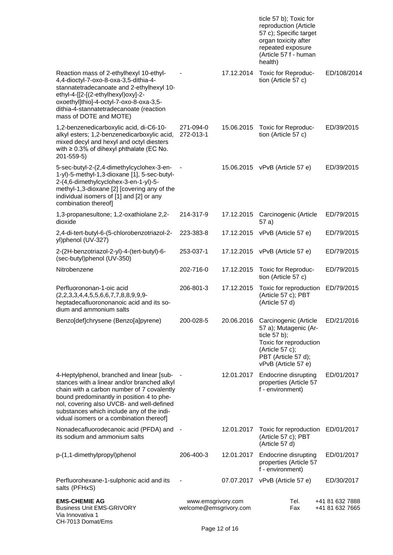|                                                                                                                                                                                                                                                                                                                           |                                              |            | ticle 57 b); Toxic for<br>reproduction (Article<br>57 c); Specific target<br>organ toxicity after<br>repeated exposure<br>(Article 57 f - human<br>health) |                                    |
|---------------------------------------------------------------------------------------------------------------------------------------------------------------------------------------------------------------------------------------------------------------------------------------------------------------------------|----------------------------------------------|------------|------------------------------------------------------------------------------------------------------------------------------------------------------------|------------------------------------|
| Reaction mass of 2-ethylhexyl 10-ethyl-<br>4,4-dioctyl-7-oxo-8-oxa-3,5-dithia-4-<br>stannatetradecanoate and 2-ethylhexyl 10-<br>ethyl-4-[[2-[(2-ethylhexyl)oxy]-2-<br>oxoethyl]thio]-4-octyl-7-oxo-8-oxa-3,5-<br>dithia-4-stannatetradecanoate (reaction<br>mass of DOTE and MOTE)                                       |                                              | 17.12.2014 | Toxic for Reproduc-<br>tion (Article 57 c)                                                                                                                 | ED/108/2014                        |
| 1,2-benzenedicarboxylic acid, di-C6-10-<br>alkyl esters; 1,2-benzenedicarboxylic acid,<br>mixed decyl and hexyl and octyl diesters<br>with $\geq 0.3\%$ of dihexyl phthalate (EC No.<br>201-559-5)                                                                                                                        | 271-094-0<br>272-013-1                       | 15.06.2015 | Toxic for Reproduc-<br>tion (Article 57 c)                                                                                                                 | ED/39/2015                         |
| 5-sec-butyl-2-(2,4-dimethylcyclohex-3-en-<br>1-yl)-5-methyl-1,3-dioxane [1], 5-sec-butyl-<br>2-(4,6-dimethylcyclohex-3-en-1-yl)-5-<br>methyl-1,3-dioxane [2] [covering any of the<br>individual isomers of [1] and [2] or any<br>combination thereof]                                                                     |                                              | 15.06.2015 | vPvB (Article 57 e)                                                                                                                                        | ED/39/2015                         |
| 1,3-propanesultone; 1,2-oxathiolane 2,2-<br>dioxide                                                                                                                                                                                                                                                                       | 214-317-9                                    | 17.12.2015 | Carcinogenic (Article<br>57 a)                                                                                                                             | ED/79/2015                         |
| 2,4-di-tert-butyl-6-(5-chlorobenzotriazol-2-<br>yl)phenol (UV-327)                                                                                                                                                                                                                                                        | 223-383-8                                    | 17.12.2015 | vPvB (Article 57 e)                                                                                                                                        | ED/79/2015                         |
| 2-(2H-benzotriazol-2-yl)-4-(tert-butyl)-6-<br>(sec-butyl)phenol (UV-350)                                                                                                                                                                                                                                                  | 253-037-1                                    |            | 17.12.2015 vPvB (Article 57 e)                                                                                                                             | ED/79/2015                         |
| Nitrobenzene                                                                                                                                                                                                                                                                                                              | 202-716-0                                    | 17.12.2015 | Toxic for Reproduc-<br>tion (Article 57 c)                                                                                                                 | ED/79/2015                         |
| Perfluorononan-1-oic acid<br>$(2,2,3,3,4,4,5,5,6,6,7,7,8,8,9,9,9-$<br>heptadecafluorononanoic acid and its so-<br>dium and ammonium salts                                                                                                                                                                                 | 206-801-3                                    | 17.12.2015 | Toxic for reproduction<br>(Article 57 c); PBT<br>(Article 57 d)                                                                                            | ED/79/2015                         |
| Benzo[def]chrysene (Benzo[a]pyrene)                                                                                                                                                                                                                                                                                       | 200-028-5                                    | 20.06.2016 | Carcinogenic (Article<br>57 a); Mutagenic (Ar-<br>ticle 57 b);<br>Toxic for reproduction<br>(Article 57 c);<br>PBT (Article 57 d);<br>vPvB (Article 57 e)  | ED/21/2016                         |
| 4-Heptylphenol, branched and linear [sub-<br>stances with a linear and/or branched alkyl<br>chain with a carbon number of 7 covalently<br>bound predominantly in position 4 to phe-<br>nol, covering also UVCB- and well-defined<br>substances which include any of the indi-<br>vidual isomers or a combination thereof] |                                              | 12.01.2017 | Endocrine disrupting<br>properties (Article 57<br>f - environment)                                                                                         | ED/01/2017                         |
| Nonadecafluorodecanoic acid (PFDA) and<br>its sodium and ammonium salts                                                                                                                                                                                                                                                   |                                              | 12.01.2017 | Toxic for reproduction<br>(Article 57 c); PBT<br>(Article 57 d)                                                                                            | ED/01/2017                         |
| p-(1,1-dimethylpropyl)phenol                                                                                                                                                                                                                                                                                              | 206-400-3                                    | 12.01.2017 | Endocrine disrupting<br>properties (Article 57<br>f - environment)                                                                                         | ED/01/2017                         |
| Perfluorohexane-1-sulphonic acid and its<br>salts (PFHxS)                                                                                                                                                                                                                                                                 | $\overline{\phantom{a}}$                     | 07.07.2017 | vPvB (Article 57 e)                                                                                                                                        | ED/30/2017                         |
| <b>EMS-CHEMIE AG</b><br><b>Business Unit EMS-GRIVORY</b><br>Via Innovativa 1<br>CH-7013 Domat/Ems                                                                                                                                                                                                                         | www.emsgrivory.com<br>welcome@emsgrivory.com |            | Tel.<br>Fax                                                                                                                                                | +41 81 632 7888<br>+41 81 632 7665 |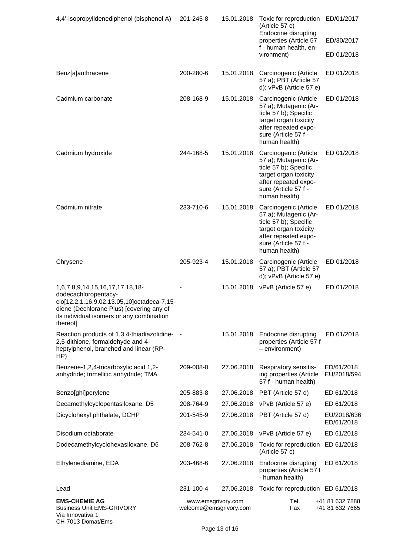| 4,4'-isopropylidenediphenol (bisphenol A)                                                                                                                                                                  | 201-245-8                                    | 15.01.2018 | Toxic for reproduction ED/01/2017<br>(Article 57 c)<br>Endocrine disrupting                                                                                       |                                    |
|------------------------------------------------------------------------------------------------------------------------------------------------------------------------------------------------------------|----------------------------------------------|------------|-------------------------------------------------------------------------------------------------------------------------------------------------------------------|------------------------------------|
|                                                                                                                                                                                                            |                                              |            | properties (Article 57                                                                                                                                            | ED/30/2017                         |
|                                                                                                                                                                                                            |                                              |            | f - human health, en-<br>vironment)                                                                                                                               | ED 01/2018                         |
| Benz[a]anthracene                                                                                                                                                                                          | 200-280-6                                    | 15.01.2018 | Carcinogenic (Article<br>57 a); PBT (Article 57<br>d); vPvB (Article 57 e)                                                                                        | ED 01/2018                         |
| Cadmium carbonate                                                                                                                                                                                          | 208-168-9                                    | 15.01.2018 | Carcinogenic (Article<br>57 a); Mutagenic (Ar-<br>ticle 57 b); Specific<br>target organ toxicity<br>after repeated expo-<br>sure (Article 57 f -<br>human health) | ED 01/2018                         |
| Cadmium hydroxide                                                                                                                                                                                          | 244-168-5                                    | 15.01.2018 | Carcinogenic (Article<br>57 a); Mutagenic (Ar-<br>ticle 57 b); Specific<br>target organ toxicity<br>after repeated expo-<br>sure (Article 57 f -<br>human health) | ED 01/2018                         |
| Cadmium nitrate                                                                                                                                                                                            | 233-710-6                                    | 15.01.2018 | Carcinogenic (Article<br>57 a); Mutagenic (Ar-<br>ticle 57 b); Specific<br>target organ toxicity<br>after repeated expo-<br>sure (Article 57 f -<br>human health) | ED 01/2018                         |
| Chrysene                                                                                                                                                                                                   | 205-923-4                                    | 15.01.2018 | Carcinogenic (Article<br>57 a); PBT (Article 57<br>d); vPvB (Article 57 e)                                                                                        | ED 01/2018                         |
| 1,6,7,8,9,14,15,16,17,17,18,18-<br>dodecachloropentacy-<br>clo[12.2.1.16,9.02,13.05,10]octadeca-7,15-<br>diene (Dechlorane Plus) [covering any of<br>its individual isomers or any combination<br>thereof] |                                              |            | 15.01.2018 vPvB (Article 57 e)                                                                                                                                    | ED 01/2018                         |
| Reaction products of 1,3,4-thiadiazolidine-<br>2,5-dithione, formaldehyde and 4-<br>heptylphenol, branched and linear (RP-<br>HP)                                                                          |                                              | 15.01.2018 | Endocrine disrupting<br>properties (Article 57 f<br>$-$ environment)                                                                                              | ED 01/2018                         |
| Benzene-1,2,4-tricarboxylic acid 1,2-<br>anhydride; trimellitic anhydride; TMA                                                                                                                             | 209-008-0                                    | 27.06.2018 | Respiratory sensitis-<br>ing properties (Article<br>57 f - human health)                                                                                          | ED/61/2018<br>EU/2018/594          |
| Benzo[ghi]perylene                                                                                                                                                                                         | 205-883-8                                    | 27.06.2018 | PBT (Article 57 d)                                                                                                                                                | ED 61/2018                         |
| Decamethylcyclopentasiloxane, D5                                                                                                                                                                           | 208-764-9                                    | 27.06.2018 | vPvB (Article 57 e)                                                                                                                                               | ED 61/2018                         |
| Dicyclohexyl phthalate, DCHP                                                                                                                                                                               | 201-545-9                                    | 27.06.2018 | PBT (Article 57 d)                                                                                                                                                | EU/2018/636<br>ED/61/2018          |
| Disodium octaborate                                                                                                                                                                                        | 234-541-0                                    | 27.06.2018 | vPvB (Article 57 e)                                                                                                                                               | ED 61/2018                         |
| Dodecamethylcyclohexasiloxane, D6                                                                                                                                                                          | 208-762-8                                    | 27.06.2018 | Toxic for reproduction<br>(Article 57 c)                                                                                                                          | ED 61/2018                         |
| Ethylenediamine, EDA                                                                                                                                                                                       | 203-468-6                                    | 27.06.2018 | Endocrine disrupting<br>properties (Article 57 f<br>- human health)                                                                                               | ED 61/2018                         |
| Lead                                                                                                                                                                                                       | 231-100-4                                    | 27.06.2018 | Toxic for reproduction ED 61/2018                                                                                                                                 |                                    |
| <b>EMS-CHEMIE AG</b><br><b>Business Unit EMS-GRIVORY</b><br>Via Innovativa 1<br>CH-7013 Domat/Ems                                                                                                          | www.emsgrivory.com<br>welcome@emsgrivory.com |            | Tel.<br>Fax                                                                                                                                                       | +41 81 632 7888<br>+41 81 632 7665 |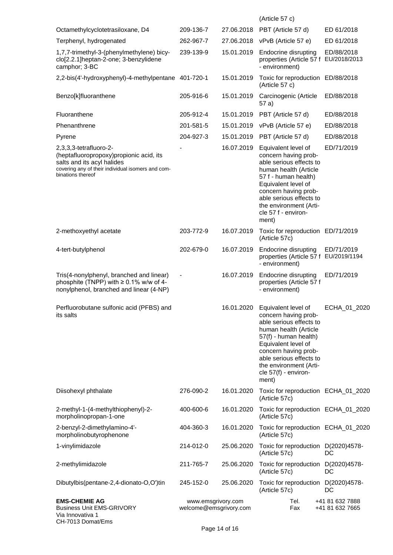|                                                                                                                                                                           |                                              |            | (Article 57 c)                                                                                                                                                                                                                                                |                                    |
|---------------------------------------------------------------------------------------------------------------------------------------------------------------------------|----------------------------------------------|------------|---------------------------------------------------------------------------------------------------------------------------------------------------------------------------------------------------------------------------------------------------------------|------------------------------------|
| Octamethylcyclotetrasiloxane, D4                                                                                                                                          | 209-136-7                                    | 27.06.2018 | PBT (Article 57 d)                                                                                                                                                                                                                                            | ED 61/2018                         |
| Terphenyl, hydrogenated                                                                                                                                                   | 262-967-7                                    | 27.06.2018 | vPvB (Article 57 e)                                                                                                                                                                                                                                           | ED 61/2018                         |
| 1,7,7-trimethyl-3-(phenylmethylene) bicy-<br>clo[2.2.1]heptan-2-one; 3-benzylidene<br>camphor; 3-BC                                                                       | 239-139-9                                    | 15.01.2019 | Endocrine disrupting<br>properties (Article 57 f EU/2018/2013<br>- environment)                                                                                                                                                                               | ED/88/2018                         |
| 2,2-bis(4'-hydroxyphenyl)-4-methylpentane 401-720-1                                                                                                                       |                                              | 15.01.2019 | Toxic for reproduction ED/88/2018<br>(Article 57 c)                                                                                                                                                                                                           |                                    |
| Benzo[k]fluoranthene                                                                                                                                                      | 205-916-6                                    | 15.01.2019 | Carcinogenic (Article<br>57 a)                                                                                                                                                                                                                                | ED/88/2018                         |
| Fluoranthene                                                                                                                                                              | 205-912-4                                    | 15.01.2019 | PBT (Article 57 d)                                                                                                                                                                                                                                            | ED/88/2018                         |
| Phenanthrene                                                                                                                                                              | 201-581-5                                    | 15.01.2019 | vPvB (Article 57 e)                                                                                                                                                                                                                                           | ED/88/2018                         |
| Pyrene                                                                                                                                                                    | 204-927-3                                    | 15.01.2019 | PBT (Article 57 d)                                                                                                                                                                                                                                            | ED/88/2018                         |
| 2,3,3,3-tetrafluoro-2-<br>(heptafluoropropoxy)propionic acid, its<br>salts and its acyl halides<br>covering any of their individual isomers and com-<br>binations thereof |                                              | 16.07.2019 | Equivalent level of<br>concern having prob-<br>able serious effects to<br>human health (Article<br>57 f - human health)<br>Equivalent level of<br>concern having prob-<br>able serious effects to<br>the environment (Arti-<br>cle 57 f - environ-<br>ment)   | ED/71/2019                         |
| 2-methoxyethyl acetate                                                                                                                                                    | 203-772-9                                    | 16.07.2019 | Toxic for reproduction ED/71/2019<br>(Article 57c)                                                                                                                                                                                                            |                                    |
| 4-tert-butylphenol                                                                                                                                                        | 202-679-0                                    | 16.07.2019 | Endocrine disrupting<br>properties (Article 57 f EU/2019/1194<br>- environment)                                                                                                                                                                               | ED/71/2019                         |
| Tris(4-nonylphenyl, branched and linear)<br>phosphite (TNPP) with $\geq 0.1\%$ w/w of 4-<br>nonylphenol, branched and linear (4-NP)                                       |                                              | 16.07.2019 | Endocrine disrupting<br>properties (Article 57 f<br>- environment)                                                                                                                                                                                            | ED/71/2019                         |
| Perfluorobutane sulfonic acid (PFBS) and<br>its salts                                                                                                                     |                                              | 16.01.2020 | Equivalent level of<br>concern having prob-<br>able serious effects to<br>human health (Article<br>57(f) - human health)<br>Equivalent level of<br>concern having prob-<br>able serious effects to<br>the environment (Arti-<br>cle 57(f) - environ-<br>ment) | ECHA_01_2020                       |
| Diisohexyl phthalate                                                                                                                                                      | 276-090-2                                    | 16.01.2020 | Toxic for reproduction ECHA_01_2020<br>(Article 57c)                                                                                                                                                                                                          |                                    |
| 2-methyl-1-(4-methylthiophenyl)-2-<br>morpholinopropan-1-one                                                                                                              | 400-600-6                                    | 16.01.2020 | Toxic for reproduction ECHA_01_2020<br>(Article 57c)                                                                                                                                                                                                          |                                    |
| 2-benzyl-2-dimethylamino-4'-<br>morpholinobutyrophenone                                                                                                                   | 404-360-3                                    | 16.01.2020 | Toxic for reproduction ECHA_01_2020<br>(Article 57c)                                                                                                                                                                                                          |                                    |
| 1-vinylimidazole                                                                                                                                                          | 214-012-0                                    | 25.06.2020 | Toxic for reproduction D(2020)4578-<br>(Article 57c)                                                                                                                                                                                                          | DC                                 |
| 2-methylimidazole                                                                                                                                                         | 211-765-7                                    | 25.06.2020 | Toxic for reproduction D(2020)4578-<br>(Article 57c)                                                                                                                                                                                                          | DC                                 |
| Dibutylbis(pentane-2,4-dionato-O,O')tin                                                                                                                                   | 245-152-0                                    | 25.06.2020 | Toxic for reproduction D(2020)4578-<br>(Article 57c)                                                                                                                                                                                                          | DC                                 |
| <b>EMS-CHEMIE AG</b><br><b>Business Unit EMS-GRIVORY</b><br>Via Innovativa 1<br>CH-7013 Domat/Ems                                                                         | www.emsgrivory.com<br>welcome@emsgrivory.com |            | Tel.<br>Fax                                                                                                                                                                                                                                                   | +41 81 632 7888<br>+41 81 632 7665 |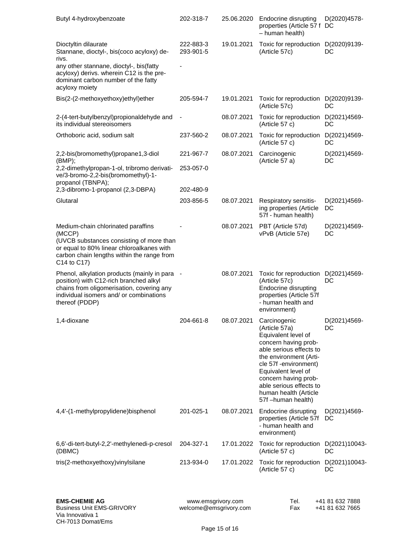| Butyl 4-hydroxybenzoate                                                                                                                                                                            | 202-318-7                    | 25.06.2020 | Endocrine disrupting<br>properties (Article 57 f DC<br>- human health)                                                                                                                                                                                                              | D(2020)4578-        |
|----------------------------------------------------------------------------------------------------------------------------------------------------------------------------------------------------|------------------------------|------------|-------------------------------------------------------------------------------------------------------------------------------------------------------------------------------------------------------------------------------------------------------------------------------------|---------------------|
| Dioctyltin dilaurate<br>Stannane, dioctyl-, bis(coco acyloxy) de-<br>rivs.                                                                                                                         | 222-883-3<br>293-901-5       | 19.01.2021 | Toxic for reproduction D(2020)9139-<br>(Article 57c)                                                                                                                                                                                                                                | DC                  |
| any other stannane, dioctyl-, bis(fatty<br>acyloxy) derivs. wherein C12 is the pre-<br>dominant carbon number of the fatty<br>acyloxy moiety                                                       |                              |            |                                                                                                                                                                                                                                                                                     |                     |
| Bis(2-(2-methoxyethoxy)ethyl)ether                                                                                                                                                                 | 205-594-7                    | 19.01.2021 | Toxic for reproduction<br>(Article 57c)                                                                                                                                                                                                                                             | D(2020)9139-<br>DC  |
| 2-(4-tert-butylbenzyl)propionaldehyde and<br>its individual stereoisomers                                                                                                                          | $\qquad \qquad \blacksquare$ | 08.07.2021 | Toxic for reproduction<br>(Article 57 c)                                                                                                                                                                                                                                            | D(2021)4569-<br>DC  |
| Orthoboric acid, sodium salt                                                                                                                                                                       | 237-560-2                    | 08.07.2021 | Toxic for reproduction<br>(Article 57 c)                                                                                                                                                                                                                                            | D(2021)4569-<br>DC  |
| 2,2-bis(bromomethyl)propane1,3-diol<br>(BMP);                                                                                                                                                      | 221-967-7                    | 08.07.2021 | Carcinogenic<br>(Article 57 a)                                                                                                                                                                                                                                                      | D(2021)4569-<br>DC  |
| 2,2-dimethylpropan-1-ol, tribromo derivati-<br>ve/3-bromo-2,2-bis(bromomethyl)-1-<br>propanol (TBNPA);                                                                                             | 253-057-0                    |            |                                                                                                                                                                                                                                                                                     |                     |
| 2,3-dibromo-1-propanol (2,3-DBPA)                                                                                                                                                                  | 202-480-9                    |            |                                                                                                                                                                                                                                                                                     |                     |
| Glutaral                                                                                                                                                                                           | 203-856-5                    | 08.07.2021 | Respiratory sensitis-<br>ing properties (Article<br>57f - human health)                                                                                                                                                                                                             | D(2021)4569-<br>DC  |
| Medium-chain chlorinated paraffins<br>(MCCP)<br>(UVCB substances consisting of more than<br>or equal to 80% linear chloroalkanes with<br>carbon chain lengths within the range from<br>C14 to C17) |                              | 08.07.2021 | PBT (Article 57d)<br>vPvB (Article 57e)                                                                                                                                                                                                                                             | D(2021)4569-<br>DC  |
| Phenol, alkylation products (mainly in para<br>position) with C12-rich branched alkyl<br>chains from oligomerisation, covering any<br>individual isomers and/ or combinations<br>thereof (PDDP)    |                              | 08.07.2021 | Toxic for reproduction<br>(Article 57c)<br>Endocrine disrupting<br>properties (Article 57f<br>- human health and<br>environment)                                                                                                                                                    | D(2021)4569-<br>DC  |
| 1,4-dioxane                                                                                                                                                                                        | 204-661-8                    | 08.07.2021 | Carcinogenic<br>(Article 57a)<br>Equivalent level of<br>concern having prob-<br>able serious effects to<br>the environment (Arti-<br>cle 57f -environment)<br>Equivalent level of<br>concern having prob-<br>able serious effects to<br>human health (Article<br>57f -human health) | D(2021)4569-<br>DC  |
| 4,4'-(1-methylpropylidene)bisphenol                                                                                                                                                                | 201-025-1                    | 08.07.2021 | Endocrine disrupting<br>properties (Article 57f<br>- human health and<br>environment)                                                                                                                                                                                               | D(2021)4569-<br>DC  |
| 6,6'-di-tert-butyl-2,2'-methylenedi-p-cresol<br>(DBMC)                                                                                                                                             | 204-327-1                    | 17.01.2022 | Toxic for reproduction<br>(Article 57 c)                                                                                                                                                                                                                                            | D(2021)10043-<br>DC |
| tris(2-methoxyethoxy)vinylsilane                                                                                                                                                                   | 213-934-0                    | 17.01.2022 | Toxic for reproduction<br>(Article 57 c)                                                                                                                                                                                                                                            | D(2021)10043-<br>DC |

| el. |  | +41 81 632 7888 |
|-----|--|-----------------|
| ax  |  | +41 81 632 7665 |